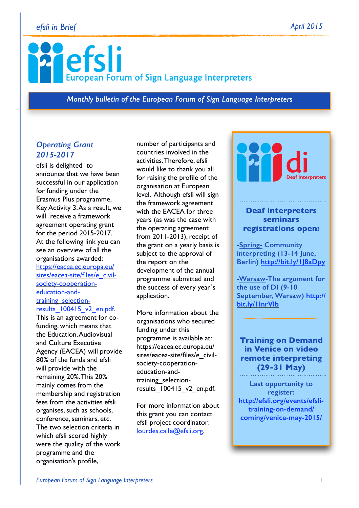#### *efsli in Brief April 2015*

# **Pefsli** European Forum of Sign Language Interpreters

*Monthly bulletin of the European Forum of Sign Language Interpreters*

#### *Operating Grant 2015-2017*

efsli is delighted to announce that we have been successful in our application for funding under the Erasmus Plus programme, Key Activity 3. As a result, we will receive a framework agreement operating grant for the period 2015-2017. At the following link you can see an overview of all the organisations awarded: https://eacea.ec.europa.eu/ sites/eacea-site/files/e\_civilsociety-cooperationeducation-and-

#### training selectionresults 100415 v2 en.pdf.

This is an agreement for cofunding, which means that the Education, Audiovisual and Culture Executive Agency (EACEA) will provide 80% of the funds and efsli will provide with the remaining 20%. This 20% mainly comes from the membership and registration fees from the activities efsli organises, such as schools, conference, seminars, etc. The two selection criteria in which efsli scored highly were the quality of the work programme and the organisation's profile,

number of participants and countries involved in the activities. Therefore, efsli would like to thank you all for raising the profile of the organisation at European level. Although efsli will sign the framework agreement with the EACEA for three years (as was the case with the operating agreement from 2011-2013), receipt of the grant on a yearly basis is subject to the approval of the report on the development of the annual programme submitted and the success of every year´s application.

More information about the organisations who secured funding under this programme is available at: https://eacea.ec.europa.eu/ sites/eacea-site/files/e\_civilsociety-cooperationeducation-andtraining\_selectionresults 100415 v2 en.pdf.

For more information about this grant you can contact efsli project coordinator: [lourdes.calle@efsli.org](mailto:lourdes.calle@efsli.org).

#### **Deaf interpreters seminars registrations open:**

**-Spring- Community interpreting (13-14 June, Berlin)<http://bit.ly/1J8aDpy>**

**-Warsaw-The argument for the use of DI (9-10 [September, Warsaw\) http://](http://bit.ly/1InrVlb) bit.ly/1InrVlb** 

**Training on Demand in Venice on video remote interpreting (29-31 May)**

**Last opportunity to register: [http://efsli.org/events/efsli](http://efsli.org/events/efsli-training-on-demand/coming/venice-may-2015/)training-on-demand/ coming/venice-may-2015/**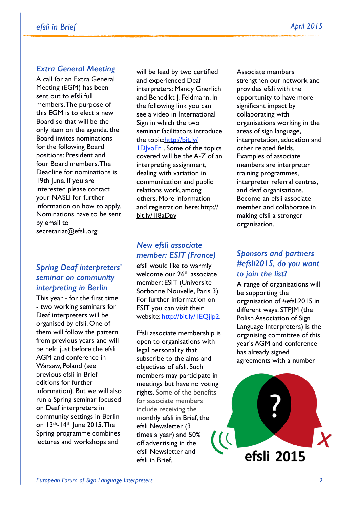#### *Extra General Meeting*

A call for an Extra General Meeting (EGM) has been sent out to efsli full members. The purpose of this EGM is to elect a new Board so that will be the only item on the agenda. the Board invites nominations for the following Board positions: President and four Board members. The Deadline for nominations is 19th June. If you are interested please contact your NASLI for further information on how to apply. Nominations have to be sent by email to secretariat@efsli.org

#### *Spring Deaf interpreters' seminar on community interpreting in Berlin*

This year - for the first time - two working seminars for Deaf interpreters will be organised by efsli. One of them will follow the pattern from previous years and will be held just before the efsli AGM and conference in Warsaw, Poland (see previous efsli in Brief editions for further information). But we will also run a Spring seminar focused on Deaf interpreters in community settings in Berlin on  $13<sup>th</sup>$ -14<sup>th</sup> June 2015. The Spring programme combines lectures and workshops and

will be lead by two certified and experienced Deaf interpreters: Mandy Gnerlich and Benedikt J. Feldmann. In the following link you can see a video in International Sign in which the two seminar facilitators introduce [the topic:http://bit.ly/](http://bit.ly/1DJvoEn) **ID** voEn . Some of the topics covered will be the A-Z of an interpreting assignment, dealing with variation in communication and public relations work, among others. More information [and registration here: http://](http://bit.ly/1J8aDpy) bit.ly/1<sub>18aDpy</sub>

### *New efsli associate member: ESIT (France)*

efsli would like to warmly welcome our 26<sup>th</sup> associate member: ESIT (Université Sorbonne Nouvelle, Paris 3). For further information on ESIT you can visit their website: http://bit.ly/1EQjlp2.

Efsli associate membership is open to organisations with legal personality that subscribe to the aims and objectives of efsli. Such members may participate in meetings but have no voting rights. Some of the benefits for associate members include receiving the monthly efsli in Brief, the efsli Newsletter (3 times a year) and 50% off advertising in the efsli Newsletter and efsli in Brief.

Associate members strengthen our network and provides efsli with the opportunity to have more significant impact by collaborating with organisations working in the areas of sign language, interpretation, education and other related fields. Examples of associate members are interpreter training programmes, interpreter referral centres, and deaf organisations. Become an efsli associate member and collaborate in making efsli a stronger organisation.

### *Sponsors and partners #efsli2015, do you want to join the list?*

A range of organisations will be supporting the organisation of #efsli2015 in different ways. STPJM (the Polish Association of Sign Language Interpreters) is the organising committee of this year's AGM and conference has already signed agreements with a number